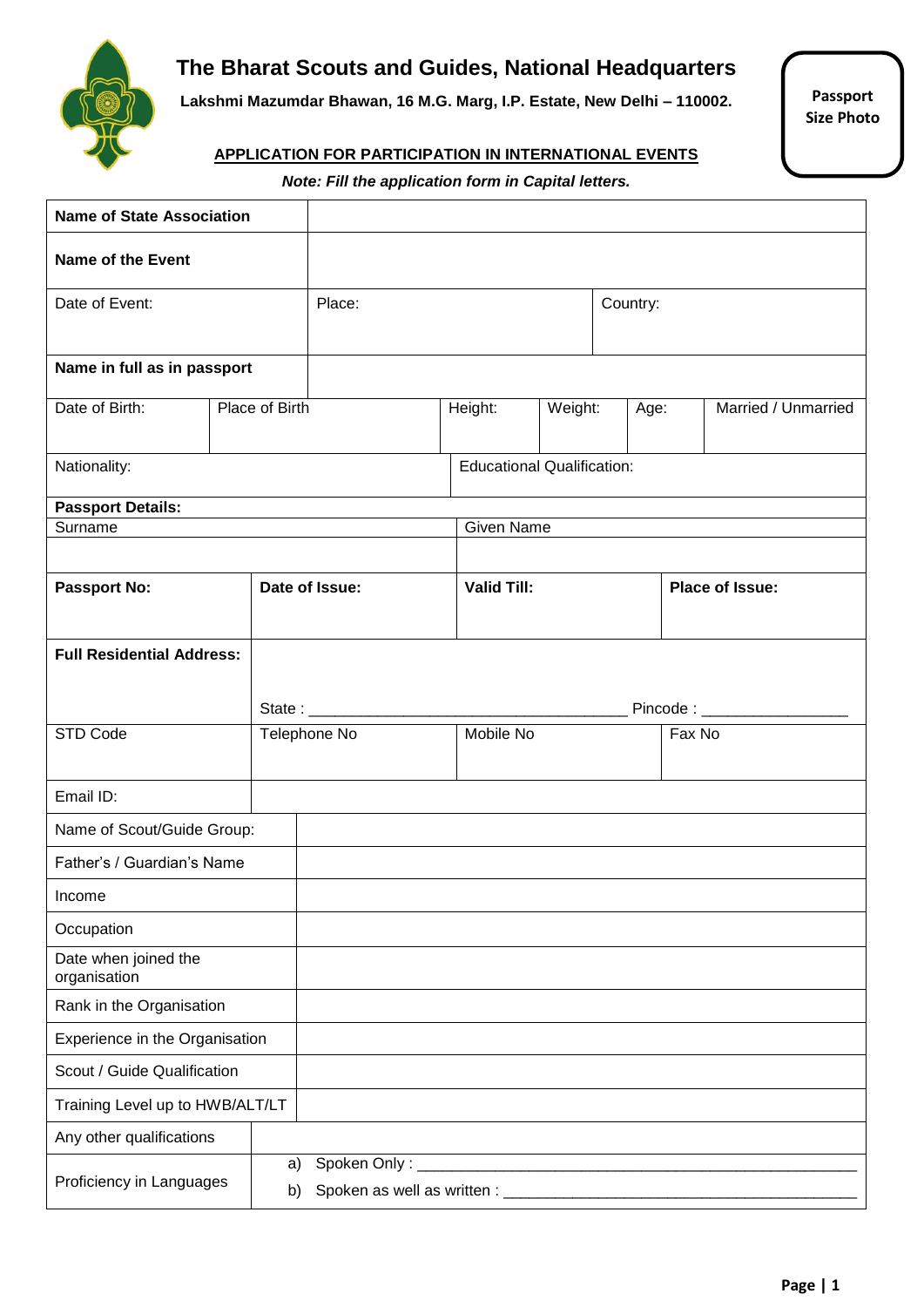

# **The Bharat Scouts and Guides, National Headquarters**

**Lakshmi Mazumdar Bhawan, 16 M.G. Marg, I.P. Estate, New Delhi – 110002.**

**Passport Size Photo**

#### **APPLICATION FOR PARTICIPATION IN INTERNATIONAL EVENTS**

*Note: Fill the application form in Capital letters.*

| <b>Name of State Association</b>     |                |    |                |                                   |          |      |        |                        |
|--------------------------------------|----------------|----|----------------|-----------------------------------|----------|------|--------|------------------------|
| <b>Name of the Event</b>             |                |    |                |                                   |          |      |        |                        |
| Date of Event:                       |                |    | Place:         |                                   | Country: |      |        |                        |
|                                      |                |    |                |                                   |          |      |        |                        |
| Name in full as in passport          |                |    |                |                                   |          |      |        |                        |
| Date of Birth:                       | Place of Birth |    |                | Height:                           | Weight:  | Age: |        | Married / Unmarried    |
|                                      |                |    |                |                                   |          |      |        |                        |
| Nationality:                         |                |    |                | <b>Educational Qualification:</b> |          |      |        |                        |
| <b>Passport Details:</b>             |                |    |                |                                   |          |      |        |                        |
| Surname                              |                |    |                | <b>Given Name</b>                 |          |      |        |                        |
|                                      |                |    |                |                                   |          |      |        |                        |
| <b>Passport No:</b>                  |                |    | Date of Issue: | <b>Valid Till:</b>                |          |      |        | <b>Place of Issue:</b> |
|                                      |                |    |                |                                   |          |      |        |                        |
| <b>Full Residential Address:</b>     |                |    |                |                                   |          |      |        |                        |
|                                      |                |    |                |                                   |          |      |        |                        |
|                                      |                |    |                |                                   |          |      |        | Pincode: __________    |
| STD Code                             |                |    | Telephone No   | Mobile No                         |          |      | Fax No |                        |
|                                      |                |    |                |                                   |          |      |        |                        |
| Email ID:                            |                |    |                |                                   |          |      |        |                        |
| Name of Scout/Guide Group:           |                |    |                |                                   |          |      |        |                        |
| Father's / Guardian's Name           |                |    |                |                                   |          |      |        |                        |
| Income                               |                |    |                |                                   |          |      |        |                        |
| Occupation                           |                |    |                |                                   |          |      |        |                        |
| Date when joined the<br>organisation |                |    |                |                                   |          |      |        |                        |
| Rank in the Organisation             |                |    |                |                                   |          |      |        |                        |
| Experience in the Organisation       |                |    |                |                                   |          |      |        |                        |
| Scout / Guide Qualification          |                |    |                |                                   |          |      |        |                        |
| Training Level up to HWB/ALT/LT      |                |    |                |                                   |          |      |        |                        |
| Any other qualifications             |                |    |                |                                   |          |      |        |                        |
| Proficiency in Languages             |                | a) |                |                                   |          |      |        |                        |
|                                      |                | b) |                |                                   |          |      |        |                        |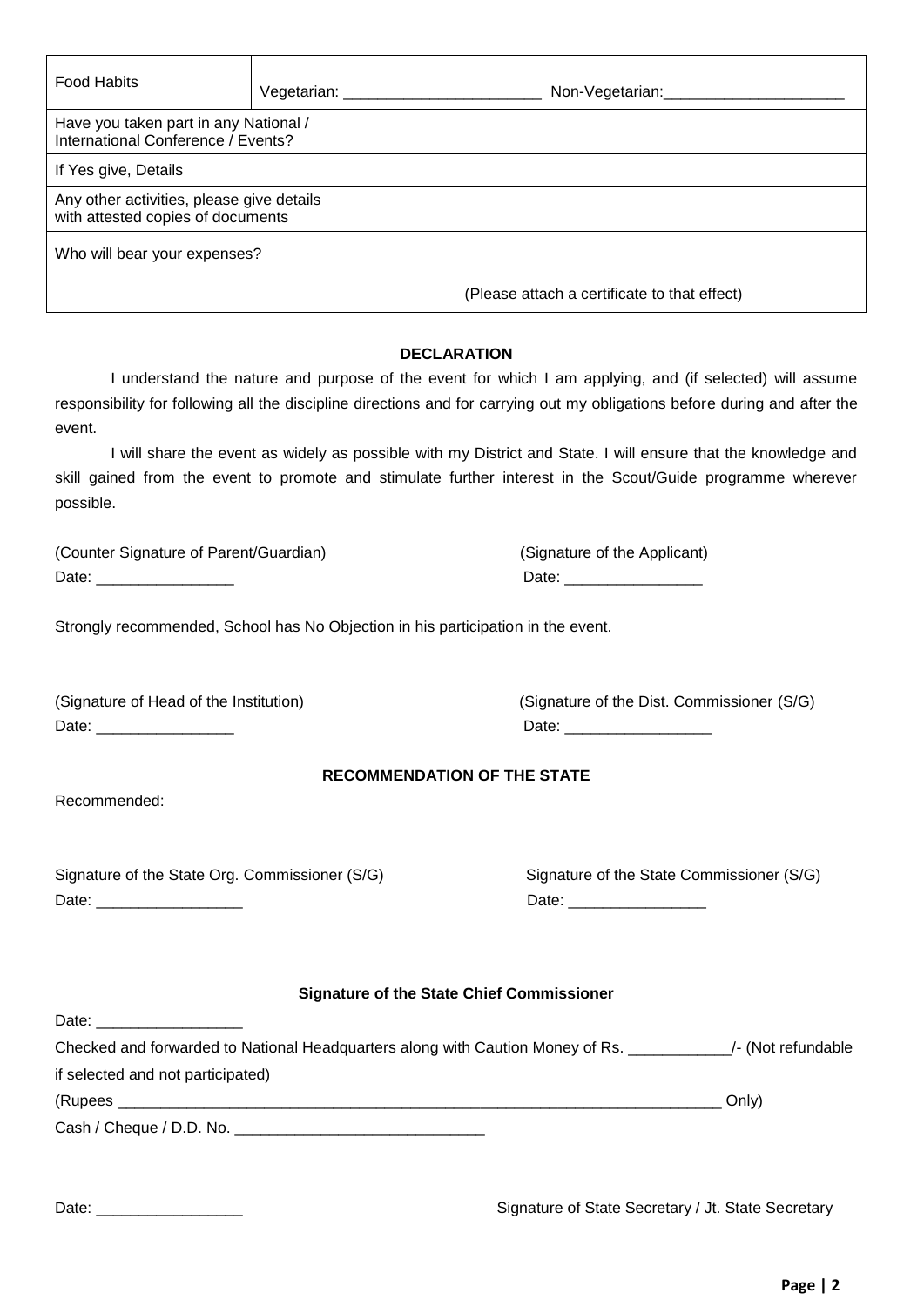| <b>Food Habits</b>                                                             | Vegetarian: ___________ | Non-Vegetarian:                              |  |
|--------------------------------------------------------------------------------|-------------------------|----------------------------------------------|--|
| Have you taken part in any National /<br>International Conference / Events?    |                         |                                              |  |
| If Yes give, Details                                                           |                         |                                              |  |
| Any other activities, please give details<br>with attested copies of documents |                         |                                              |  |
| Who will bear your expenses?                                                   |                         |                                              |  |
|                                                                                |                         | (Please attach a certificate to that effect) |  |
| <b>DECLARATION</b>                                                             |                         |                                              |  |

I understand the nature and purpose of the event for which I am applying, and (if selected) will assume responsibility for following all the discipline directions and for carrying out my obligations before during and after the event.

I will share the event as widely as possible with my District and State. I will ensure that the knowledge and skill gained from the event to promote and stimulate further interest in the Scout/Guide programme wherever possible.

| (Counter Signature of Parent/Guardian) | (Signature of the Applicant) |
|----------------------------------------|------------------------------|
| Date:                                  | Date:                        |

Strongly recommended, School has No Objection in his participation in the event.

| (Signature of Head of the Institution) |
|----------------------------------------|
| Date:                                  |

(Signature of the Dist. Commissioner (S/G) Date:  $\Box$ 

#### **RECOMMENDATION OF THE STATE**

Recommended:

Date: \_\_\_\_\_\_\_\_\_\_\_\_\_\_\_\_\_

| Signature of the State Org. Commissioner (S/G) | Signature of the State Commissioner (S/G) |
|------------------------------------------------|-------------------------------------------|
| Date:                                          | Date                                      |

| Signature of the State Commissioner (S/G) |
|-------------------------------------------|
| Date:                                     |

| Checked and forwarded to National Headquarters along with Caution Money of Rs. | /- (Not refundable |
|--------------------------------------------------------------------------------|--------------------|
| if selected and not participated)                                              |                    |
| (Rupees                                                                        | Only)              |
| Cash / Cheque / D.D. No.                                                       |                    |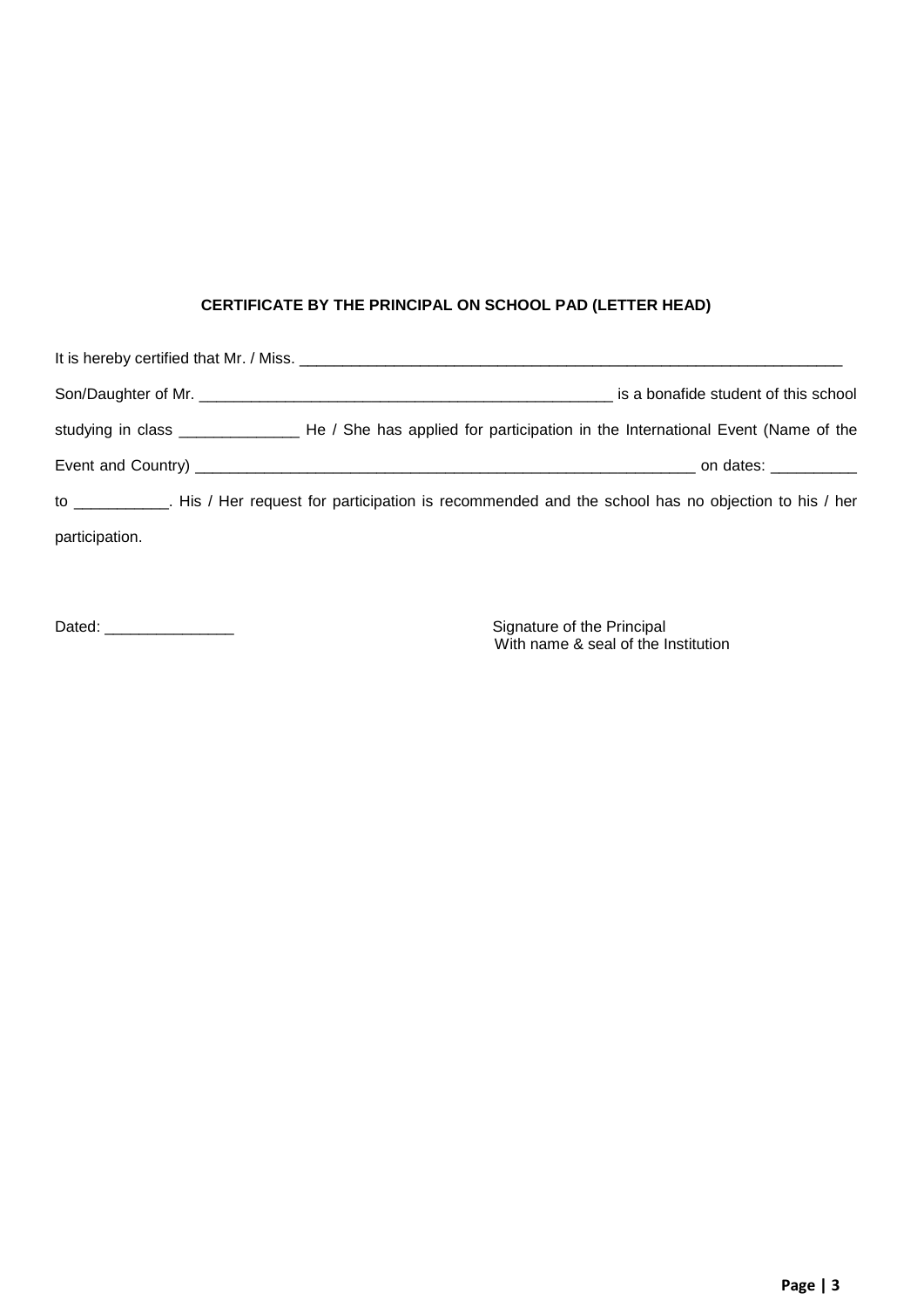# **CERTIFICATE BY THE PRINCIPAL ON SCHOOL PAD (LETTER HEAD)**

|                | is a bonafide student of this school                                                                             |
|----------------|------------------------------------------------------------------------------------------------------------------|
|                |                                                                                                                  |
|                | on dates: ___________                                                                                            |
|                | to ____________. His / Her request for participation is recommended and the school has no objection to his / her |
| participation. |                                                                                                                  |

Dated: \_\_\_\_\_\_\_\_\_\_\_\_\_\_\_ Signature of the Principal

Signature of the Principal<br>With name & seal of the Institution